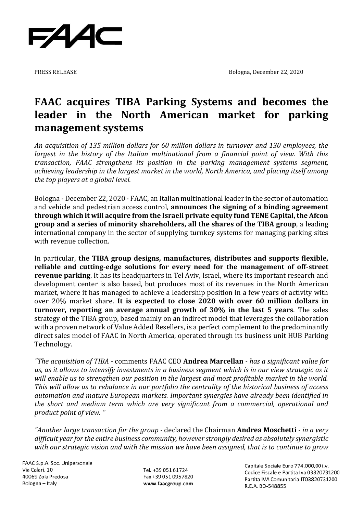

PRESS RELEASE Bologna, December 22, 2020

## **FAAC acquires TIBA Parking Systems and becomes the leader in the North American market for parking management systems**

*An acquisition of 135 million dollars for 60 million dollars in turnover and 130 employees, the largest in the history of the Italian multinational from a financial point of view. With this transaction, FAAC strengthens its position in the parking management systems segment, achieving leadership in the largest market in the world, North America, and placing itself among the top players at a global level.*

Bologna - December 22, 2020 - FAAC, an Italian multinational leader in the sector of automation and vehicle and pedestrian access control, **announces the signing of a binding agreement through which it will acquire from the Israeli private equity fund TENE Capital, the Afcon group and a series of minority shareholders, all the shares of the TIBA group**, a leading international company in the sector of supplying turnkey systems for managing parking sites with revenue collection.

In particular, **the TIBA group designs, manufactures, distributes and supports flexible, reliable and cutting-edge solutions for every need for the management of off-street revenue parking**. It has its headquarters in Tel Aviv, Israel, where its important research and development center is also based, but produces most of its revenues in the North American market, where it has managed to achieve a leadership position in a few years of activity with over 20% market share. **It is expected to close 2020 with over 60 million dollars in turnover, reporting an average annual growth of 30% in the last 5 years**. The sales strategy of the TIBA group, based mainly on an indirect model that leverages the collaboration with a proven network of Value Added Resellers, is a perfect complement to the predominantly direct sales model of FAAC in North America, operated through its business unit HUB Parking Technology.

*"The acquisition of TIBA -* comments FAAC CEO **Andrea Marcellan** *- has a significant value for us, as it allows to intensify investments in a business segment which is in our view strategic as it will enable us to strengthen our position in the largest and most profitable market in the world. This will allow us to rebalance in our portfolio the centrality of the historical business of access automation and mature European markets. Important synergies have already been identified in the short and medium term which are very significant from a commercial, operational and product point of view. "*

*"Another large transaction for the group -* declared the Chairman **Andrea Moschetti** *- in a very difficult year for the entire business community, however strongly desired as absolutely synergistic with our strategic vision and with the mission we have been assigned, that is to continue to grow* 

FAAC S.p.A. Soc. Unipersonale Via Calari, 10 40069 Zola Predosa Bologna - Italy

Tel. +39 051 61724 Fax +39 051 0957820 www.faacgroup.com

Capitale Sociale Euro 774.000,00 i.v. Codice Fiscale e Partita Iva 03820731200 Partita IVA Comunitaria IT03820731200 R.E.A. BO-548855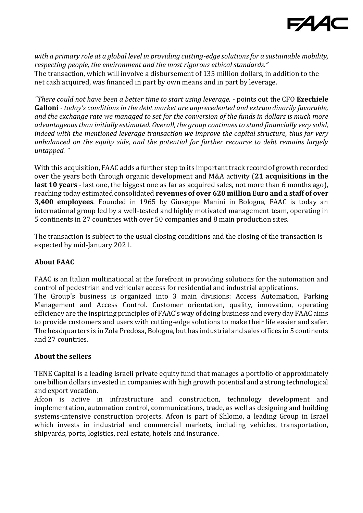

*with a primary role at a global level in providing cutting-edge solutions for a sustainable mobility, respecting people, the environment and the most rigorous ethical standards."* The transaction, which will involve a disbursement of 135 million dollars, in addition to the net cash acquired, was financed in part by own means and in part by leverage.

*"There could not have been a better time to start using leverage, -* points out the CFO **Ezechiele Galloni** *- today's conditions in the debt market are unprecedented and extraordinarily favorable, and the exchange rate we managed to set for the conversion of the funds in dollars is much more advantageous than initially estimated. Overall, the group continues to stand financially very solid, indeed with the mentioned leverage transaction we improve the capital structure, thus far very unbalanced on the equity side, and the potential for further recourse to debt remains largely untapped. "*

With this acquisition, FAAC adds a further step to its important track record of growth recorded over the years both through organic development and M&A activity (**21 acquisitions in the last 10 years -** last one, the biggest one as far as acquired sales, not more than 6 months ago), reaching today estimated consolidated **revenues of over 620 million Euro and a staff of over 3,400 employees**. Founded in 1965 by Giuseppe Manini in Bologna, FAAC is today an international group led by a well-tested and highly motivated management team, operating in 5 continents in 27 countries with over 50 companies and 8 main production sites.

The transaction is subject to the usual closing conditions and the closing of the transaction is expected by mid-January 2021.

## **About FAAC**

FAAC is an Italian multinational at the forefront in providing solutions for the automation and control of pedestrian and vehicular access for residential and industrial applications. The Group's business is organized into 3 main divisions: Access Automation, Parking Management and Access Control. Customer orientation, quality, innovation, operating efficiency are the inspiring principles of FAAC's way of doing business and every day FAAC aims to provide customers and users with cutting-edge solutions to make their life easier and safer. The headquarters is in Zola Predosa, Bologna, but has industrial and sales offices in 5 continents and 27 countries.

## **About the sellers**

TENE Capital is a leading Israeli private equity fund that manages a portfolio of approximately one billion dollars invested in companies with high growth potential and a strong technological and export vocation.

Afcon is active in infrastructure and construction, technology development and implementation, automation control, communications, trade, as well as designing and building systems-intensive construction projects. Afcon is part of Shlomo, a leading Group in Israel which invests in industrial and commercial markets, including vehicles, transportation, shipyards, ports, logistics, real estate, hotels and insurance.